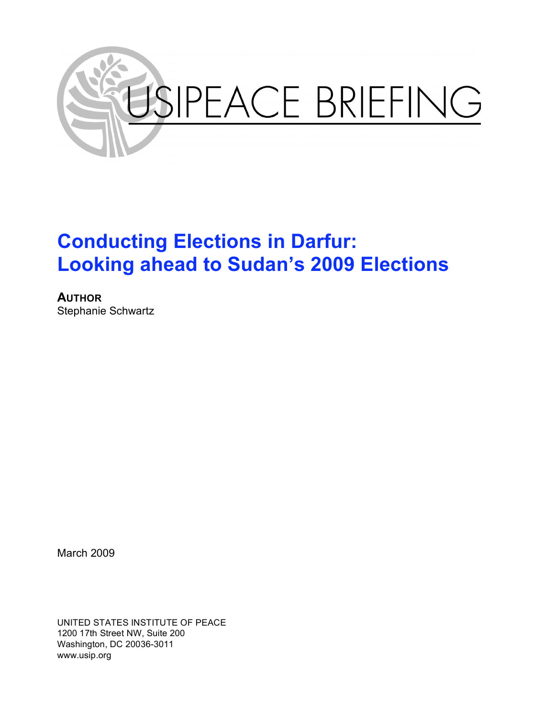

# **Conducting Elections in Darfur: Looking ahead to Sudan's 2009 Elections**

**AUTHOR** Stephanie Schwartz

March 2009

UNITED STATES INSTITUTE OF PEACE 1200 17th Street NW, Suite 200 Washington, DC 20036-3011 www.usip.org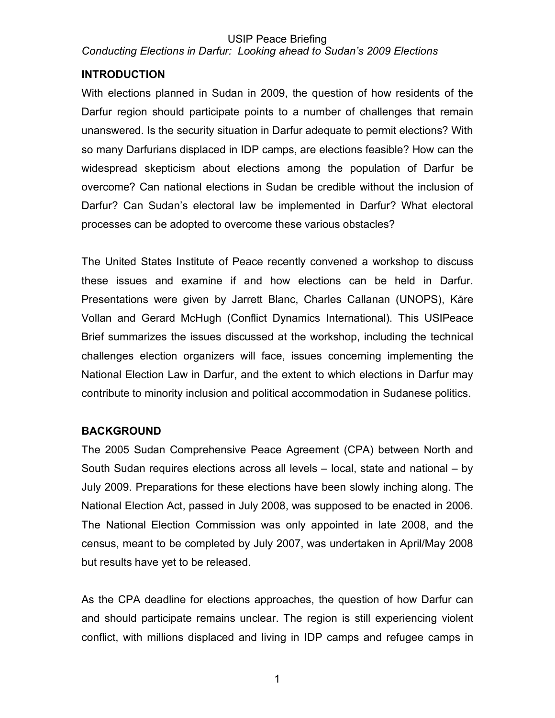#### USIP Peace Briefing *Conducting Elections in Darfur: Looking ahead to Sudan's 2009 Elections*

# **INTRODUCTION**

With elections planned in Sudan in 2009, the question of how residents of the Darfur region should participate points to a number of challenges that remain unanswered. Is the security situation in Darfur adequate to permit elections? With so many Darfurians displaced in IDP camps, are elections feasible? How can the widespread skepticism about elections among the population of Darfur be overcome? Can national elections in Sudan be credible without the inclusion of Darfur? Can Sudan's electoral law be implemented in Darfur? What electoral processes can be adopted to overcome these various obstacles?

The United States Institute of Peace recently convened a workshop to discuss these issues and examine if and how elections can be held in Darfur. Presentations were given by Jarrett Blanc, Charles Callanan (UNOPS), Kåre Vollan and Gerard McHugh (Conflict Dynamics International). This USIPeace Brief summarizes the issues discussed at the workshop, including the technical challenges election organizers will face, issues concerning implementing the National Election Law in Darfur, and the extent to which elections in Darfur may contribute to minority inclusion and political accommodation in Sudanese politics.

## **BACKGROUND**

The 2005 Sudan Comprehensive Peace Agreement (CPA) between North and South Sudan requires elections across all levels – local, state and national – by July 2009. Preparations for these elections have been slowly inching along. The National Election Act, passed in July 2008, was supposed to be enacted in 2006. The National Election Commission was only appointed in late 2008, and the census, meant to be completed by July 2007, was undertaken in April/May 2008 but results have yet to be released.

As the CPA deadline for elections approaches, the question of how Darfur can and should participate remains unclear. The region is still experiencing violent conflict, with millions displaced and living in IDP camps and refugee camps in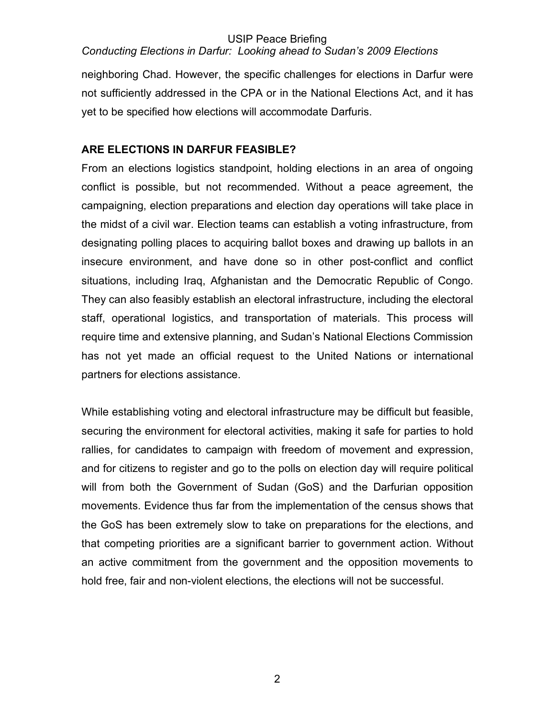# *Conducting Elections in Darfur: Looking ahead to Sudan's 2009 Elections*

neighboring Chad. However, the specific challenges for elections in Darfur were not sufficiently addressed in the CPA or in the National Elections Act, and it has yet to be specified how elections will accommodate Darfuris.

# **ARE ELECTIONS IN DARFUR FEASIBLE?**

From an elections logistics standpoint, holding elections in an area of ongoing conflict is possible, but not recommended. Without a peace agreement, the campaigning, election preparations and election day operations will take place in the midst of a civil war. Election teams can establish a voting infrastructure, from designating polling places to acquiring ballot boxes and drawing up ballots in an insecure environment, and have done so in other post-conflict and conflict situations, including Iraq, Afghanistan and the Democratic Republic of Congo. They can also feasibly establish an electoral infrastructure, including the electoral staff, operational logistics, and transportation of materials. This process will require time and extensive planning, and Sudan's National Elections Commission has not yet made an official request to the United Nations or international partners for elections assistance.

While establishing voting and electoral infrastructure may be difficult but feasible, securing the environment for electoral activities, making it safe for parties to hold rallies, for candidates to campaign with freedom of movement and expression, and for citizens to register and go to the polls on election day will require political will from both the Government of Sudan (GoS) and the Darfurian opposition movements. Evidence thus far from the implementation of the census shows that the GoS has been extremely slow to take on preparations for the elections, and that competing priorities are a significant barrier to government action. Without an active commitment from the government and the opposition movements to hold free, fair and non-violent elections, the elections will not be successful.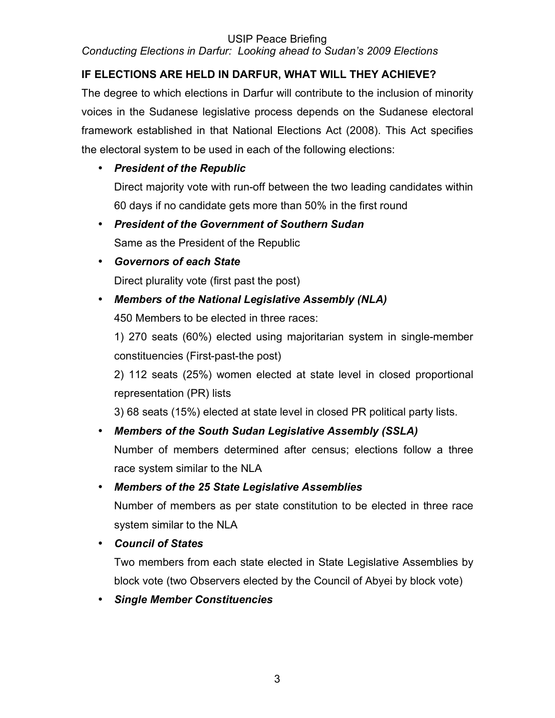*Conducting Elections in Darfur: Looking ahead to Sudan's 2009 Elections*

# **IF ELECTIONS ARE HELD IN DARFUR, WHAT WILL THEY ACHIEVE?**

The degree to which elections in Darfur will contribute to the inclusion of minority voices in the Sudanese legislative process depends on the Sudanese electoral framework established in that National Elections Act (2008). This Act specifies the electoral system to be used in each of the following elections:

# • *President of the Republic*

Direct majority vote with run-off between the two leading candidates within 60 days if no candidate gets more than 50% in the first round

- *President of the Government of Southern Sudan* Same as the President of the Republic
- *Governors of each State*

Direct plurality vote (first past the post)

# • *Members of the National Legislative Assembly (NLA)*

450 Members to be elected in three races:

1) 270 seats (60%) elected using majoritarian system in single-member constituencies (First-past-the post)

2) 112 seats (25%) women elected at state level in closed proportional representation (PR) lists

3) 68 seats (15%) elected at state level in closed PR political party lists.

# • *Members of the South Sudan Legislative Assembly (SSLA)*

Number of members determined after census; elections follow a three race system similar to the NLA

# • *Members of the 25 State Legislative Assemblies*

Number of members as per state constitution to be elected in three race system similar to the NLA

• *Council of States*

Two members from each state elected in State Legislative Assemblies by block vote (two Observers elected by the Council of Abyei by block vote)

• *Single Member Constituencies*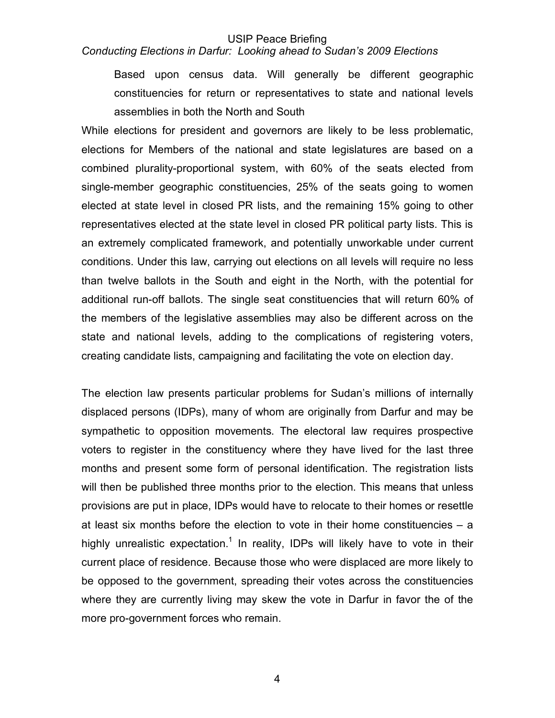#### *Conducting Elections in Darfur: Looking ahead to Sudan's 2009 Elections*

Based upon census data. Will generally be different geographic constituencies for return or representatives to state and national levels assemblies in both the North and South

While elections for president and governors are likely to be less problematic, elections for Members of the national and state legislatures are based on a combined plurality-proportional system, with 60% of the seats elected from single-member geographic constituencies, 25% of the seats going to women elected at state level in closed PR lists, and the remaining 15% going to other representatives elected at the state level in closed PR political party lists. This is an extremely complicated framework, and potentially unworkable under current conditions. Under this law, carrying out elections on all levels will require no less than twelve ballots in the South and eight in the North, with the potential for additional run-off ballots. The single seat constituencies that will return 60% of the members of the legislative assemblies may also be different across on the state and national levels, adding to the complications of registering voters, creating candidate lists, campaigning and facilitating the vote on election day.

The election law presents particular problems for Sudan's millions of internally displaced persons (IDPs), many of whom are originally from Darfur and may be sympathetic to opposition movements. The electoral law requires prospective voters to register in the constituency where they have lived for the last three months and present some form of personal identification. The registration lists will then be published three months prior to the election. This means that unless provisions are put in place, IDPs would have to relocate to their homes or resettle at least six months before the election to vote in their home constituencies – a highly unrealistic expectation.<sup>1</sup> In reality, IDPs will likely have to vote in their current place of residence. Because those who were displaced are more likely to be opposed to the government, spreading their votes across the constituencies where they are currently living may skew the vote in Darfur in favor the of the more pro-government forces who remain.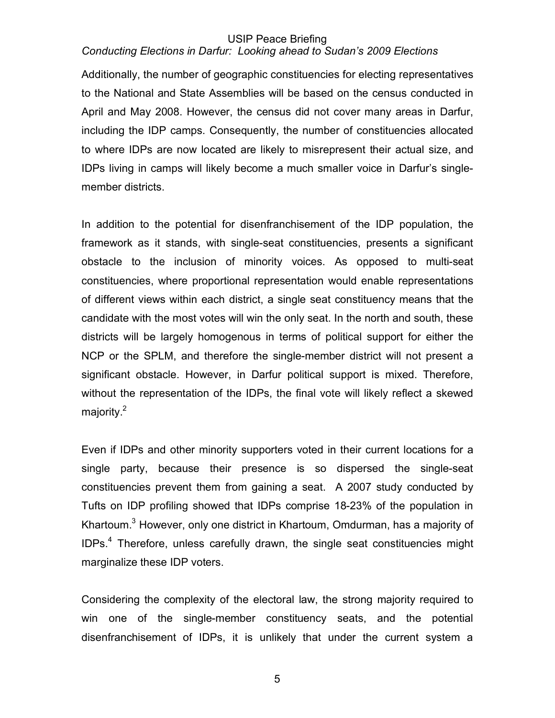# *Conducting Elections in Darfur: Looking ahead to Sudan's 2009 Elections*

Additionally, the number of geographic constituencies for electing representatives to the National and State Assemblies will be based on the census conducted in April and May 2008. However, the census did not cover many areas in Darfur, including the IDP camps. Consequently, the number of constituencies allocated to where IDPs are now located are likely to misrepresent their actual size, and IDPs living in camps will likely become a much smaller voice in Darfur's singlemember districts.

In addition to the potential for disenfranchisement of the IDP population, the framework as it stands, with single-seat constituencies, presents a significant obstacle to the inclusion of minority voices. As opposed to multi-seat constituencies, where proportional representation would enable representations of different views within each district, a single seat constituency means that the candidate with the most votes will win the only seat. In the north and south, these districts will be largely homogenous in terms of political support for either the NCP or the SPLM, and therefore the single-member district will not present a significant obstacle. However, in Darfur political support is mixed. Therefore, without the representation of the IDPs, the final vote will likely reflect a skewed majority.<sup>2</sup>

Even if IDPs and other minority supporters voted in their current locations for a single party, because their presence is so dispersed the single-seat constituencies prevent them from gaining a seat. A 2007 study conducted by Tufts on IDP profiling showed that IDPs comprise 18-23% of the population in Khartoum.<sup>3</sup> However, only one district in Khartoum, Omdurman, has a majority of IDPs.<sup>4</sup> Therefore, unless carefully drawn, the single seat constituencies might marginalize these IDP voters.

Considering the complexity of the electoral law, the strong majority required to win one of the single-member constituency seats, and the potential disenfranchisement of IDPs, it is unlikely that under the current system a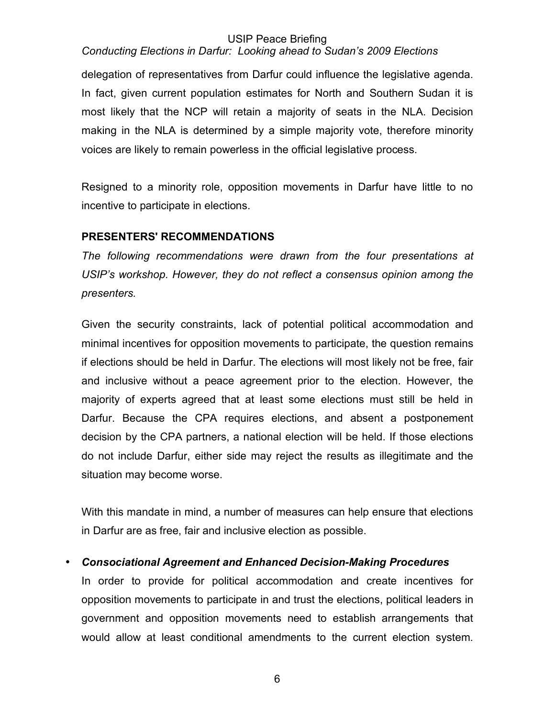# *Conducting Elections in Darfur: Looking ahead to Sudan's 2009 Elections*

delegation of representatives from Darfur could influence the legislative agenda. In fact, given current population estimates for North and Southern Sudan it is most likely that the NCP will retain a majority of seats in the NLA. Decision making in the NLA is determined by a simple majority vote, therefore minority voices are likely to remain powerless in the official legislative process.

Resigned to a minority role, opposition movements in Darfur have little to no incentive to participate in elections.

# **PRESENTERS' RECOMMENDATIONS**

*The following recommendations were drawn from the four presentations at USIP's workshop. However, they do not reflect a consensus opinion among the presenters.*

Given the security constraints, lack of potential political accommodation and minimal incentives for opposition movements to participate, the question remains if elections should be held in Darfur. The elections will most likely not be free, fair and inclusive without a peace agreement prior to the election. However, the majority of experts agreed that at least some elections must still be held in Darfur. Because the CPA requires elections, and absent a postponement decision by the CPA partners, a national election will be held. If those elections do not include Darfur, either side may reject the results as illegitimate and the situation may become worse.

With this mandate in mind, a number of measures can help ensure that elections in Darfur are as free, fair and inclusive election as possible.

# • *Consociational Agreement and Enhanced Decision-Making Procedures*

In order to provide for political accommodation and create incentives for opposition movements to participate in and trust the elections, political leaders in government and opposition movements need to establish arrangements that would allow at least conditional amendments to the current election system.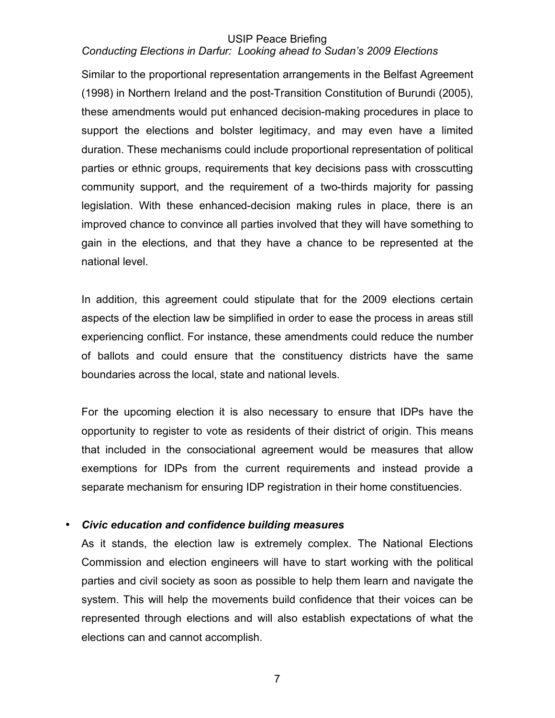# *Conducting Elections in Darfur: Looking ahead to Sudan's 2009 Elections*

Similar to the proportional representation arrangements in the Belfast Agreement (1998) in Northern Ireland and the post-Transition Constitution of Burundi (2005), these amendments would put enhanced decision-making procedures in place to support the elections and bolster legitimacy, and may even have a limited duration. These mechanisms could include proportional representation of political parties or ethnic groups, requirements that key decisions pass with crosscutting community support, and the requirement of a two-thirds majority for passing legislation. With these enhanced-decision making rules in place, there is an improved chance to convince all parties involved that they will have something to gain in the elections, and that they have a chance to be represented at the national level.

In addition, this agreement could stipulate that for the 2009 elections certain aspects of the election law be simplified in order to ease the process in areas still experiencing conflict. For instance, these amendments could reduce the number of ballots and could ensure that the constituency districts have the same boundaries across the local, state and national levels.

For the upcoming election it is also necessary to ensure that IDPs have the opportunity to register to vote as residents of their district of origin. This means that included in the consociational agreement would be measures that allow exemptions for IDPs from the current requirements and instead provide a separate mechanism for ensuring IDP registration in their home constituencies.

## • *Civic education and confidence building measures*

As it stands, the election law is extremely complex. The National Elections Commission and election engineers will have to start working with the political parties and civil society as soon as possible to help them learn and navigate the system. This will help the movements build confidence that their voices can be represented through elections and will also establish expectations of what the elections can and cannot accomplish.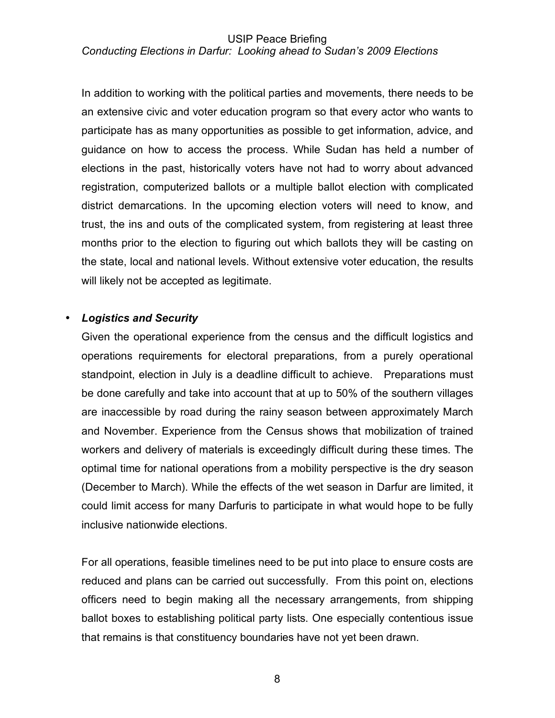#### USIP Peace Briefing *Conducting Elections in Darfur: Looking ahead to Sudan's 2009 Elections*

In addition to working with the political parties and movements, there needs to be an extensive civic and voter education program so that every actor who wants to participate has as many opportunities as possible to get information, advice, and guidance on how to access the process. While Sudan has held a number of elections in the past, historically voters have not had to worry about advanced registration, computerized ballots or a multiple ballot election with complicated district demarcations. In the upcoming election voters will need to know, and trust, the ins and outs of the complicated system, from registering at least three months prior to the election to figuring out which ballots they will be casting on the state, local and national levels. Without extensive voter education, the results will likely not be accepted as legitimate.

# • *Logistics and Security*

Given the operational experience from the census and the difficult logistics and operations requirements for electoral preparations, from a purely operational standpoint, election in July is a deadline difficult to achieve. Preparations must be done carefully and take into account that at up to 50% of the southern villages are inaccessible by road during the rainy season between approximately March and November. Experience from the Census shows that mobilization of trained workers and delivery of materials is exceedingly difficult during these times. The optimal time for national operations from a mobility perspective is the dry season (December to March). While the effects of the wet season in Darfur are limited, it could limit access for many Darfuris to participate in what would hope to be fully inclusive nationwide elections.

For all operations, feasible timelines need to be put into place to ensure costs are reduced and plans can be carried out successfully. From this point on, elections officers need to begin making all the necessary arrangements, from shipping ballot boxes to establishing political party lists. One especially contentious issue that remains is that constituency boundaries have not yet been drawn.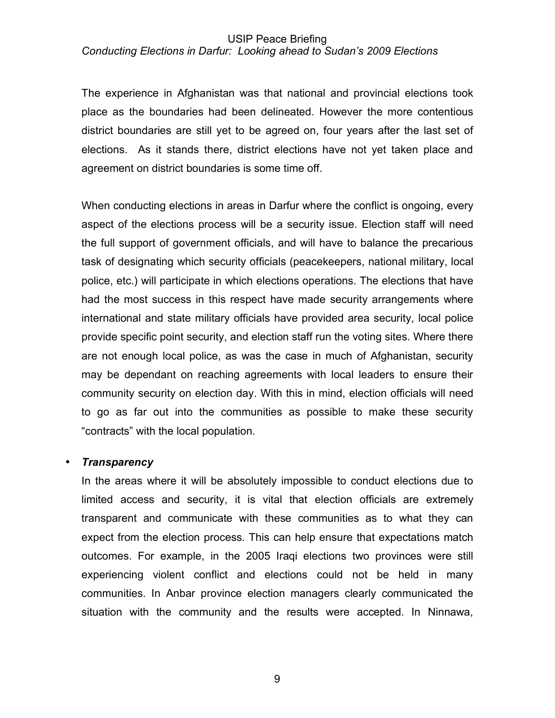## *Conducting Elections in Darfur: Looking ahead to Sudan's 2009 Elections*

The experience in Afghanistan was that national and provincial elections took place as the boundaries had been delineated. However the more contentious district boundaries are still yet to be agreed on, four years after the last set of elections. As it stands there, district elections have not yet taken place and agreement on district boundaries is some time off.

When conducting elections in areas in Darfur where the conflict is ongoing, every aspect of the elections process will be a security issue. Election staff will need the full support of government officials, and will have to balance the precarious task of designating which security officials (peacekeepers, national military, local police, etc.) will participate in which elections operations. The elections that have had the most success in this respect have made security arrangements where international and state military officials have provided area security, local police provide specific point security, and election staff run the voting sites. Where there are not enough local police, as was the case in much of Afghanistan, security may be dependant on reaching agreements with local leaders to ensure their community security on election day. With this in mind, election officials will need to go as far out into the communities as possible to make these security "contracts" with the local population.

## • *Transparency*

In the areas where it will be absolutely impossible to conduct elections due to limited access and security, it is vital that election officials are extremely transparent and communicate with these communities as to what they can expect from the election process. This can help ensure that expectations match outcomes. For example, in the 2005 Iraqi elections two provinces were still experiencing violent conflict and elections could not be held in many communities. In Anbar province election managers clearly communicated the situation with the community and the results were accepted. In Ninnawa,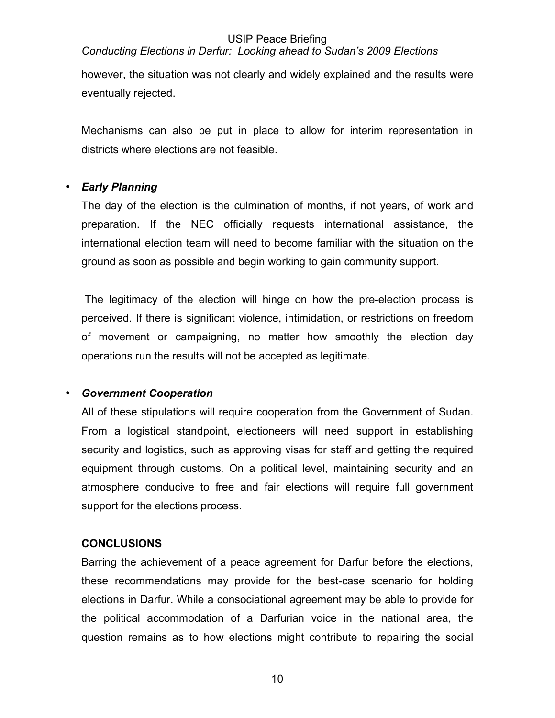# *Conducting Elections in Darfur: Looking ahead to Sudan's 2009 Elections*

however, the situation was not clearly and widely explained and the results were eventually rejected.

Mechanisms can also be put in place to allow for interim representation in districts where elections are not feasible.

# • *Early Planning*

The day of the election is the culmination of months, if not years, of work and preparation. If the NEC officially requests international assistance, the international election team will need to become familiar with the situation on the ground as soon as possible and begin working to gain community support.

 The legitimacy of the election will hinge on how the pre-election process is perceived. If there is significant violence, intimidation, or restrictions on freedom of movement or campaigning, no matter how smoothly the election day operations run the results will not be accepted as legitimate.

## • *Government Cooperation*

All of these stipulations will require cooperation from the Government of Sudan. From a logistical standpoint, electioneers will need support in establishing security and logistics, such as approving visas for staff and getting the required equipment through customs. On a political level, maintaining security and an atmosphere conducive to free and fair elections will require full government support for the elections process.

# **CONCLUSIONS**

Barring the achievement of a peace agreement for Darfur before the elections, these recommendations may provide for the best-case scenario for holding elections in Darfur. While a consociational agreement may be able to provide for the political accommodation of a Darfurian voice in the national area, the question remains as to how elections might contribute to repairing the social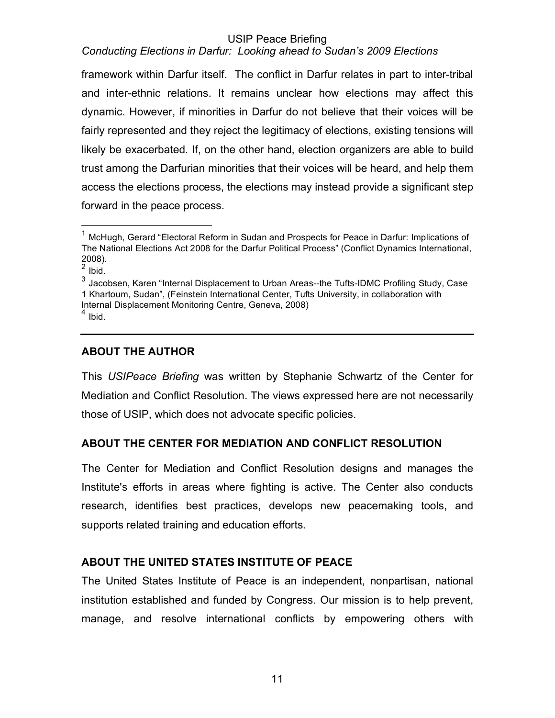# *Conducting Elections in Darfur: Looking ahead to Sudan's 2009 Elections*

framework within Darfur itself. The conflict in Darfur relates in part to inter-tribal and inter-ethnic relations. It remains unclear how elections may affect this dynamic. However, if minorities in Darfur do not believe that their voices will be fairly represented and they reject the legitimacy of elections, existing tensions will likely be exacerbated. If, on the other hand, election organizers are able to build trust among the Darfurian minorities that their voices will be heard, and help them access the elections process, the elections may instead provide a significant step forward in the peace process.

# **ABOUT THE AUTHOR**

This *USIPeace Briefing* was written by Stephanie Schwartz of the Center for Mediation and Conflict Resolution. The views expressed here are not necessarily those of USIP, which does not advocate specific policies.

# **ABOUT THE CENTER FOR MEDIATION AND CONFLICT RESOLUTION**

The Center for Mediation and Conflict Resolution designs and manages the Institute's efforts in areas where fighting is active. The Center also conducts research, identifies best practices, develops new peacemaking tools, and supports related training and education efforts.

# **ABOUT THE UNITED STATES INSTITUTE OF PEACE**

The United States Institute of Peace is an independent, nonpartisan, national institution established and funded by Congress. Our mission is to help prevent, manage, and resolve international conflicts by empowering others with

<sup>&</sup>lt;sup>1</sup> McHugh, Gerard "Electoral Reform in Sudan and Prospects for Peace in Darfur: Implications of The National Elections Act 2008 for the Darfur Political Process" (Conflict Dynamics International, 2008).

 $2$  Ibid.

<sup>3</sup> Jacobsen, Karen "Internal Displacement to Urban Areas--the Tufts-IDMC Profiling Study, Case 1 Khartoum, Sudan", (Feinstein International Center, Tufts University, in collaboration with Internal Displacement Monitoring Centre, Geneva, 2008)

 $<sup>4</sup>$  Ibid.</sup>